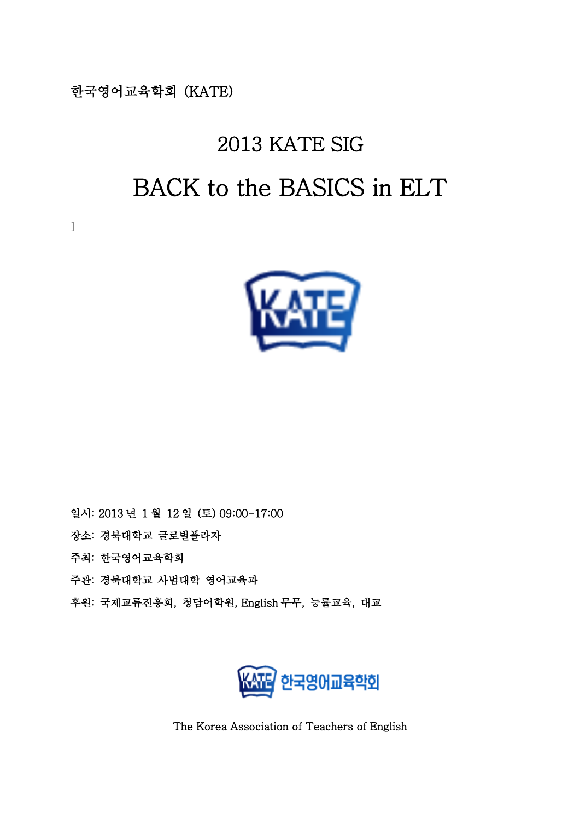한국영어교육학회 (KATE)

]

# 2013 KATE SIG BACK to the BASICS in ELT



- 일시: 2013 년 1 월 12 일 (토) 09:00-17:00
- 장소: 경북대학교 글로벌플라자
- 주최: 한국영어교육학회
- 주관: 경북대학교 사범대학 영어교육과
- 후원: 국제교류진흥회, 청담어학원, English 무무, 능률교육, 대교



The Korea Association of Teachers of English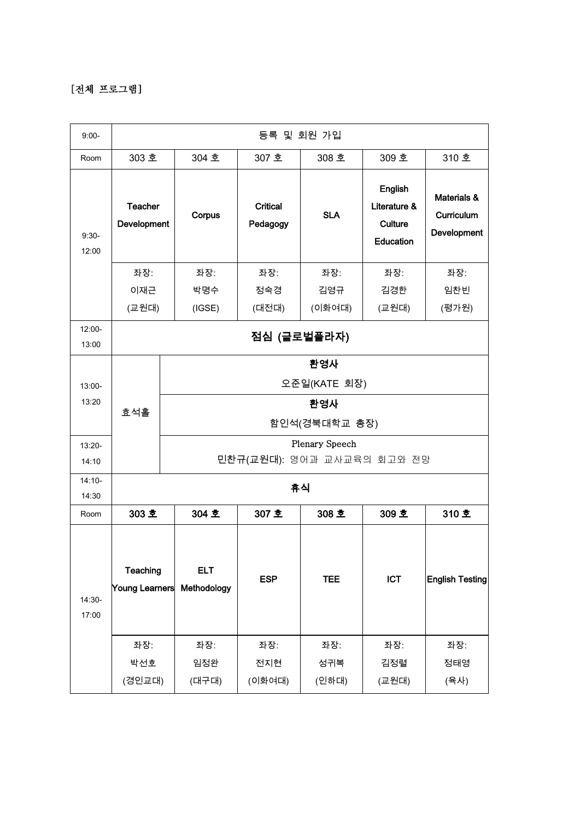#### [전체 프로그램]

| $9:00-$           | 등록 및 회원 가입                    |                           |                            |                                             |                                                 |                                          |
|-------------------|-------------------------------|---------------------------|----------------------------|---------------------------------------------|-------------------------------------------------|------------------------------------------|
| Room              | 303 호                         | 304 호                     | 307 호                      | 308 호                                       | 309 호                                           | 310 호                                    |
| $9:30-$<br>12:00  | <b>Teacher</b><br>Development | Corpus                    | Critical<br>Pedagogy       | <b>SLA</b>                                  | English<br>Literature &<br>Culture<br>Education | Materials &<br>Curriculum<br>Development |
|                   | 좌장:                           | 좌장:                       | 좌장:                        | 좌장:                                         | 좌장:                                             | 좌장:                                      |
|                   | 이재근                           | 박명수                       | 정숙경                        | 김영규                                         | 김경한                                             | 임찬빈                                      |
|                   | (교원대)                         | (IGSE)                    | (대전대)                      | (이화여대)                                      | (교원대)                                           | (평가원)                                    |
| 12:00-<br>13:00   | 점심 (글로벌플라자)                   |                           |                            |                                             |                                                 |                                          |
| 13:00-<br>13:20   | 효석홀                           |                           |                            | 환영사<br>오준일(KATE 회장)<br>환영사<br>함인석(경북대학교 총장) |                                                 |                                          |
| 13:20-<br>14:10   |                               |                           | 민찬규(교원대): 영어과 교사교육의 회고와 전망 | Plenary Speech                              |                                                 |                                          |
| $14:10-$<br>14:30 | 휴식                            |                           |                            |                                             |                                                 |                                          |
| Room              | 303 호                         | 304 호                     | 307 호                      | 308 호                                       | 309 호                                           | 310 호                                    |
| 14:30-<br>17:00   | Teaching<br>Young Learners    | <b>ELT</b><br>Methodology | <b>ESP</b>                 | <b>TEE</b>                                  | <b>ICT</b>                                      | <b>English Testing</b>                   |
|                   | 좌장:                           | 좌장:                       | 좌장:                        | 좌장:                                         | 좌장:                                             | 좌장:                                      |
|                   | 박선호                           | 임정완                       | 전지현                        | 성귀복                                         | 김정렬                                             | 정태영                                      |
|                   | (경인교대)                        | (대구대)                     | (이화여대)                     | (인하대)                                       | (교원대)                                           | (육사)                                     |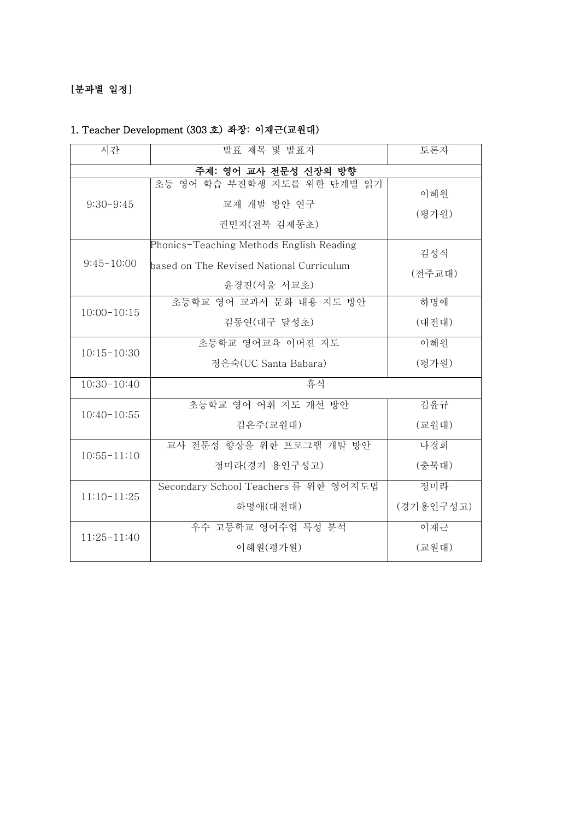#### [분과별 일정]

#### 1. Teacher Development (303 호) 좌장: 이재근(교원대)

| 시간                   | 발표 제목 및 발표자                                                                                         | 토론자           |
|----------------------|-----------------------------------------------------------------------------------------------------|---------------|
| 주제: 영어 교사 전문성 신장의 방향 |                                                                                                     |               |
| $9:30-9:45$          | 초등 영어 학습 부진학생 지도를 위한 단계별 읽기<br>교재 개발 방안 연구<br>권민지(전북 김제동초)                                          | 이혜원<br>(평가원)  |
| $9:45-10:00$         | Phonics-Teaching Methods English Reading<br>based on The Revised National Curriculum<br>윤경진(서울 서교초) | 김성식<br>(전주교대) |
| $10:00 - 10:15$      | 초등학교 영어 교과서 문화 내용 지도 방안<br>김동연(대구 달성초)                                                              | 하명애<br>(대전대)  |
| $10:15 - 10:30$      | 초등학교 영어교육 이머젼 지도<br>정은숙(UC Santa Babara)                                                            | 이혜워<br>(평가원)  |
| $10:30-10:40$        | 휴식                                                                                                  |               |
| $10:40-10:55$        | 초등학교 영어 어휘 지도 개선 방안<br>김은주(교원대)                                                                     | 김윤규<br>(교원대)  |
| $10:55 - 11:10$      | 교사 전문성 향상을 위한 프로그램 개발 방안<br>정미라(경기 용인구성고)                                                           | 나경희<br>(충북대)  |
| $11:10-11:25$        | Secondary School Teachers 를 위한 영어지도법<br>하명애(대전대)                                                    |               |
| $11:25 - 11:40$      | 우수 고등학교 영어수업 특성 분석<br>이혜원(평가원)                                                                      | 이재근<br>(교원대)  |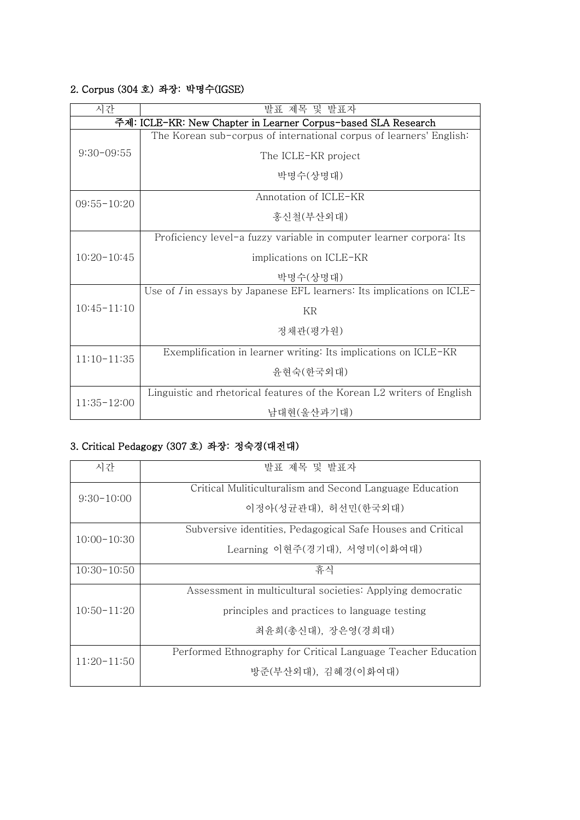#### 2. Corpus (304 호) 좌장: 박명수(IGSE)

| 시간                                                            | 발표 제목 및 발표자                                                                   |  |
|---------------------------------------------------------------|-------------------------------------------------------------------------------|--|
| 주제: ICLE-KR: New Chapter in Learner Corpus-based SLA Research |                                                                               |  |
|                                                               | The Korean sub-corpus of international corpus of learners' English:           |  |
| $9:30-09:55$                                                  | The ICLE-KR project                                                           |  |
|                                                               | 박명수(상명대)                                                                      |  |
| $09:55 - 10:20$                                               | Annotation of ICLE-KR                                                         |  |
|                                                               | 홍신철(부산외대)                                                                     |  |
|                                                               | Proficiency level-a fuzzy variable in computer learner corpora: Its           |  |
| $10:20-10:45$                                                 | implications on ICLE-KR                                                       |  |
|                                                               | 박명수(상명대)                                                                      |  |
|                                                               | Use of <i>I</i> in essays by Japanese EFL learners: Its implications on ICLE- |  |
| $10:45 - 11:10$                                               | KR                                                                            |  |
|                                                               | 정채관(평가원)                                                                      |  |
| $11:10-11:35$                                                 | Exemplification in learner writing: Its implications on ICLE-KR               |  |
|                                                               | 윤현숙(한국외대)                                                                     |  |
|                                                               | Linguistic and rhetorical features of the Korean L2 writers of English        |  |
| $11:35-12:00$                                                 | 남대현(울산과기대)                                                                    |  |

## 3. Critical Pedagogy (307 호) 좌장: 정숙경(대전대)

| 시간            | 발표 제목 및 발표자                                                   |
|---------------|---------------------------------------------------------------|
| $9:30-10:00$  | Critical Muliticulturalism and Second Language Education      |
|               | 이정아(성균관대), 허선민(한국외대)                                          |
|               | Subversive identities, Pedagogical Safe Houses and Critical   |
| $10:00-10:30$ | Learning 이현주(경기대), 서영미(이화여대)                                  |
| $10:30-10:50$ | 휴식                                                            |
|               | Assessment in multicultural societies: Applying democratic    |
| $10:50-11:20$ | principles and practices to language testing                  |
|               | 최유희(총신대), 장은영(경희대)                                            |
| $11:20-11:50$ | Performed Ethnography for Critical Language Teacher Education |
|               | 방준(부산외대), 김혜경(이화여대)                                           |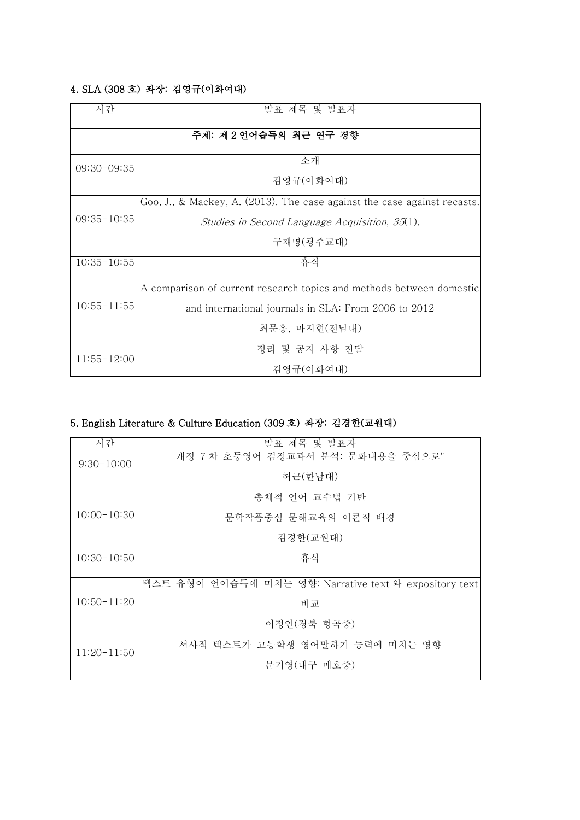#### 4. SLA (308 호) 좌장: 김영규(이화여대)

| 시간                    | 발표 제목 및 발표자                                                              |  |
|-----------------------|--------------------------------------------------------------------------|--|
| 주제: 제2 언어습득의 최근 연구 경향 |                                                                          |  |
| $09:30-09:35$         | 소개                                                                       |  |
|                       | 김영규(이화여대)                                                                |  |
|                       | Goo, J., & Mackey, A. (2013). The case against the case against recasts. |  |
| $09:35 - 10:35$       | Studies in Second Language Acquisition, 35(1).                           |  |
|                       | 구재명(광주교대)                                                                |  |
| $10:35-10:55$         | 휴식                                                                       |  |
|                       | A comparison of current research topics and methods between domestic     |  |
| $10:55 - 11:55$       | and international journals in SLA: From 2006 to 2012                     |  |
|                       | 최문홍, 마지현(전남대)                                                            |  |
| $11:55 - 12:00$       | 정리 및 공지 사항 전달                                                            |  |
|                       | 김영규(이화여대)                                                                |  |

## 5. English Literature & Culture Education (309 호) 좌장: 김경한(교원대)

| 시간              | 발표 제목 및 발표자                                            |
|-----------------|--------------------------------------------------------|
| $9:30-10:00$    | 개정 7차 초등영어 검정교과서 분석: 문화내용을 중심으로"                       |
|                 | 허근(한남대)                                                |
|                 | 총체적 언어 교수법 기반                                          |
| $10:00-10:30$   | 문학작품중심 문해교육의 이론적 배경                                    |
|                 | 김경한(교원대)                                               |
| $10:30-10:50$   | 휴식                                                     |
|                 | 텍스트 유형이 언어습득에 미치는 영향: Narrative text 와 expository text |
| $10:50 - 11:20$ | 비교                                                     |
|                 | 이정인(경북 형곡중)                                            |
| $11:20-11:50$   | 서사적 텍스트가 고등학생 영어말하기 능력에 미치는 영향                         |
|                 | 문기영(대구 매호중)                                            |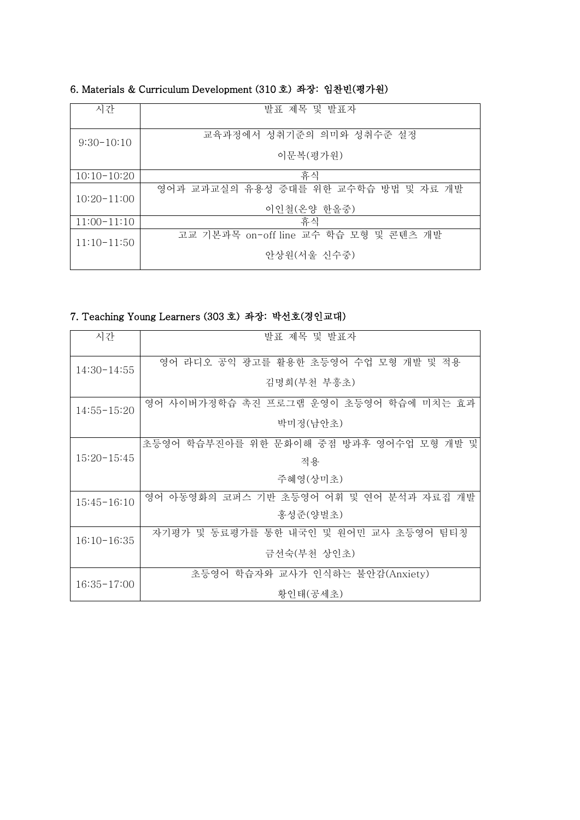| 시간            | 발표 제목 및 발표자                                          |
|---------------|------------------------------------------------------|
| $9:30-10:10$  | 교육과정에서 성취기준의 의미와 성취수준 설정<br>이문복(평가원)                 |
| $10:10-10:20$ | 휴식                                                   |
| $10:20-11:00$ | 영어과 교과교실의 유용성 증대를 위한 교수학습 방법 및 자료 개발<br>이인철(온양 한올중)  |
| $11:00-11:10$ | 휴식                                                   |
| $11:10-11:50$ | 고교 기본과목 on-off line 교수 학습 모형 및 콘텐츠 개발<br>안상원(서울 신수중) |

#### 6. Materials & Curriculum Development (310 호) 좌장: 임찬빈(평가원)

## 7. Teaching Young Learners (303 호) 좌장: 박선호(경인교대)

| 시간              | 발표 제목 및 발표자                             |
|-----------------|-----------------------------------------|
| $14:30-14:55$   | 영어 라디오 공익 광고를 활용한 초등영어 수업 모형 개발 및 적용    |
|                 | 김명희(부천 부흥초)                             |
| $14:55 - 15:20$ | 영어 사이버가정학습 촉진 프로그램 운영이 초등영어 학습에 미치는 효과  |
|                 | 박미정(남안초)                                |
|                 | 초등영어 학습부진아를 위한 문화이해 중점 방과후 영어수업 모형 개발 및 |
| $15:20-15:45$   | 적용                                      |
|                 | 주혜영(상미초)                                |
| $15:45 - 16:10$ | 영어 아동영화의 코퍼스 기반 초등영어 어휘 및 연어 분석과 자료집 개발 |
|                 | 홍성준(양벌초)                                |
| $16:10-16:35$   | 자기평가 및 동료평가를 통한 내국인 및 원어민 교사 초등영어 팀티칭   |
|                 | 금선숙(부천 상인초)                             |
|                 | 초등영어 학습자와 교사가 인식하는 불안감(Anxiety)         |
| $16:35 - 17:00$ | 황인태(공세초)                                |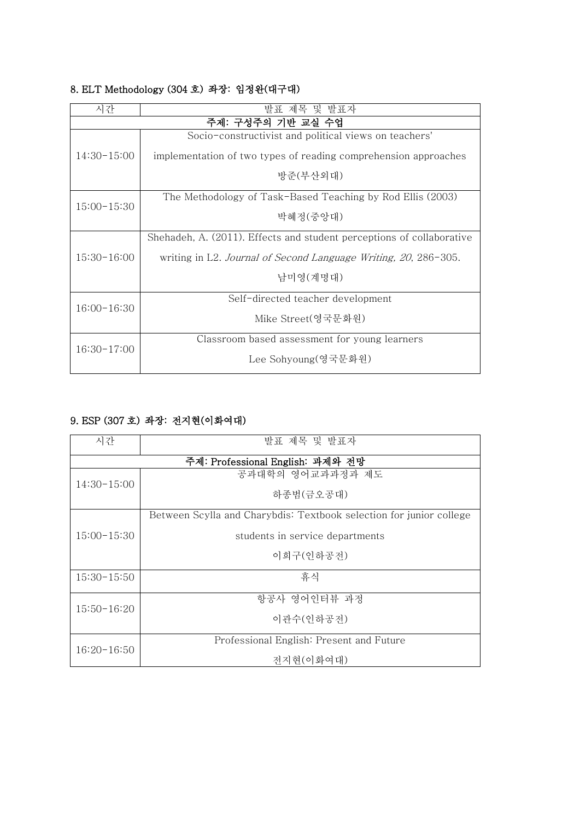| 시간                | 발표 제목 및 발표자                                                           |  |  |
|-------------------|-----------------------------------------------------------------------|--|--|
| 주제: 구성주의 기반 교실 수업 |                                                                       |  |  |
| $14:30-15:00$     | Socio-constructivist and political views on teachers'                 |  |  |
|                   | implementation of two types of reading comprehension approaches       |  |  |
|                   | 방준(부산외대)                                                              |  |  |
|                   | The Methodology of Task-Based Teaching by Rod Ellis (2003)            |  |  |
| $15:00 - 15:30$   | 박혜정(중앙대)                                                              |  |  |
|                   | Shehadeh, A. (2011). Effects and student perceptions of collaborative |  |  |
| $15:30-16:00$     | writing in L2. Journal of Second Language Writing, 20, 286-305.       |  |  |
|                   | 남미영(계명대)                                                              |  |  |
|                   | Self-directed teacher development                                     |  |  |
| $16:00-16:30$     | Mike Street(영국문화원)                                                    |  |  |
| $16:30-17:00$     | Classroom based assessment for young learners                         |  |  |
|                   | Lee Sohyoung(영국문화원)                                                   |  |  |

#### 8. ELT Methodology (304 호) 좌장: 임정완(대구대)

#### 9. ESP (307 호) 좌장: 전지현(이화여대)

| 시간            | 발표 제목 및 발표자                                                         |  |  |
|---------------|---------------------------------------------------------------------|--|--|
|               | 주제: Professional English: 과제와 전망                                    |  |  |
| $14:30-15:00$ | 공과대학의 영어교과과정과 제도                                                    |  |  |
|               | 하종범(금오공대)                                                           |  |  |
|               | Between Scylla and Charybdis: Textbook selection for junior college |  |  |
| $15:00-15:30$ | students in service departments                                     |  |  |
|               | 이희구(인하공전)                                                           |  |  |
| $15:30-15:50$ | 휴식                                                                  |  |  |
|               | 항공사 영어인터뷰 과정                                                        |  |  |
| $15:50-16:20$ | 이관수(인하공전)                                                           |  |  |
| $16:20-16:50$ | Professional English: Present and Future                            |  |  |
|               | 전지현(이화여대)                                                           |  |  |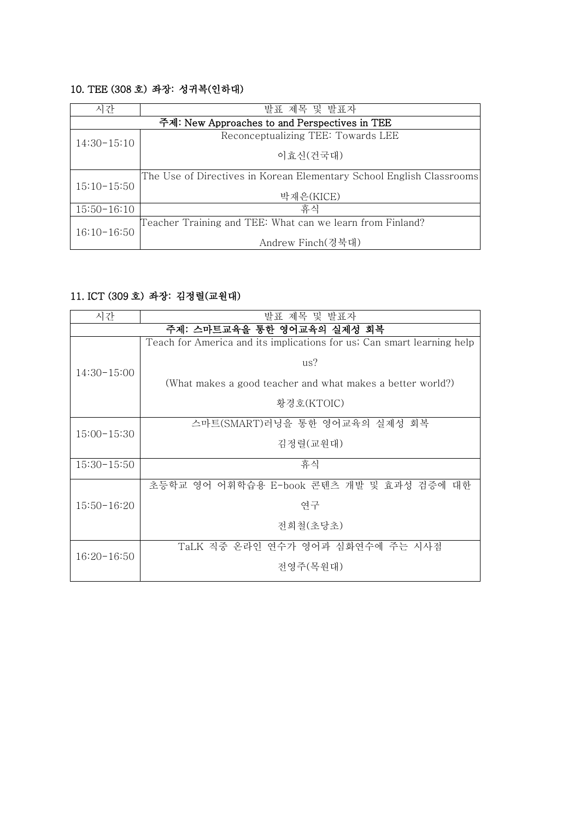#### 10. TEE (308 호) 좌장: 성귀복(인하대)

| 시간            | 발표 제목 및 발표자                                                          |  |  |
|---------------|----------------------------------------------------------------------|--|--|
|               | 주제: New Approaches to and Perspectives in TEE                        |  |  |
| $14:30-15:10$ | Reconceptualizing TEE: Towards LEE                                   |  |  |
|               | 이효신(건국대)                                                             |  |  |
|               | The Use of Directives in Korean Elementary School English Classrooms |  |  |
| $15:10-15:50$ | 박재은(KICE)                                                            |  |  |
| $15:50-16:10$ | 휴식                                                                   |  |  |
|               | Teacher Training and TEE: What can we learn from Finland?            |  |  |
| $16:10-16:50$ | Andrew Finch(경북대)                                                    |  |  |

### 11. ICT (309 호) 좌장: 김정렬(교원대)

| 시간                         | 발표 제목 및 발표자                                                            |  |
|----------------------------|------------------------------------------------------------------------|--|
| 주제: 스마트교육을 통한 영어교육의 실제성 회복 |                                                                        |  |
| $14:30-15:00$              | Teach for America and its implications for us; Can smart learning help |  |
|                            | us?                                                                    |  |
|                            | (What makes a good teacher and what makes a better world?)             |  |
|                            | 황경호(KTOIC)                                                             |  |
|                            | 스마트(SMART)러닝을 통한 영어교육의 실제성 회복                                          |  |
| $15:00-15:30$              | 김정렬(교원대)                                                               |  |
| $15:30-15:50$              | 휴식                                                                     |  |
| $15:50-16:20$              | 초등학교 영어 어휘학습용 E-book 콘텐츠 개발 및 효과성 검증에 대한                               |  |
|                            | 연구                                                                     |  |
|                            | 전희철(초당초)                                                               |  |
| $16:20-16:50$              | TaLK 직중 온라인 연수가 영어과 심화연수에 주는 시사점                                       |  |
|                            | 전영주(목원대)                                                               |  |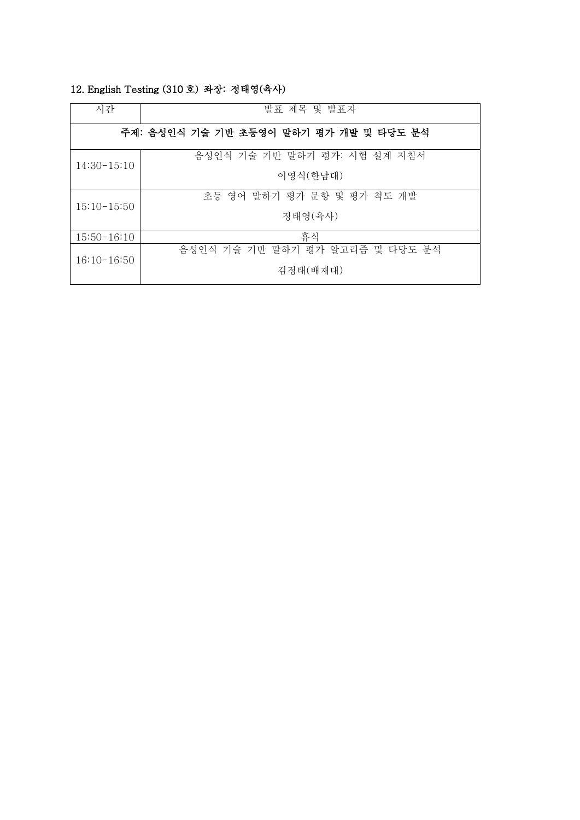| 시간                                     | 발표 제목 및 발표자                     |
|----------------------------------------|---------------------------------|
| 주제: 음성인식 기술 기반 초등영어 말하기 평가 개발 및 타당도 분석 |                                 |
| $14:30-15:10$                          | 음성인식 기술 기반 말하기 평가: 시험 설계 지침서    |
|                                        | 이영식(한남대)                        |
| $15:10-15:50$                          | 초등 영어 말하기 평가 문항 및 평가 척도 개발      |
|                                        | 정태영(육사)                         |
| $15:50-16:10$                          | 휴식                              |
| $16:10-16:50$                          | 음성인식 기술 기반 말하기 평가 알고리즘 및 타당도 분석 |
|                                        | 김정태(배재대)                        |

#### 12. English Testing (310 호) 좌장: 정태영(육사)